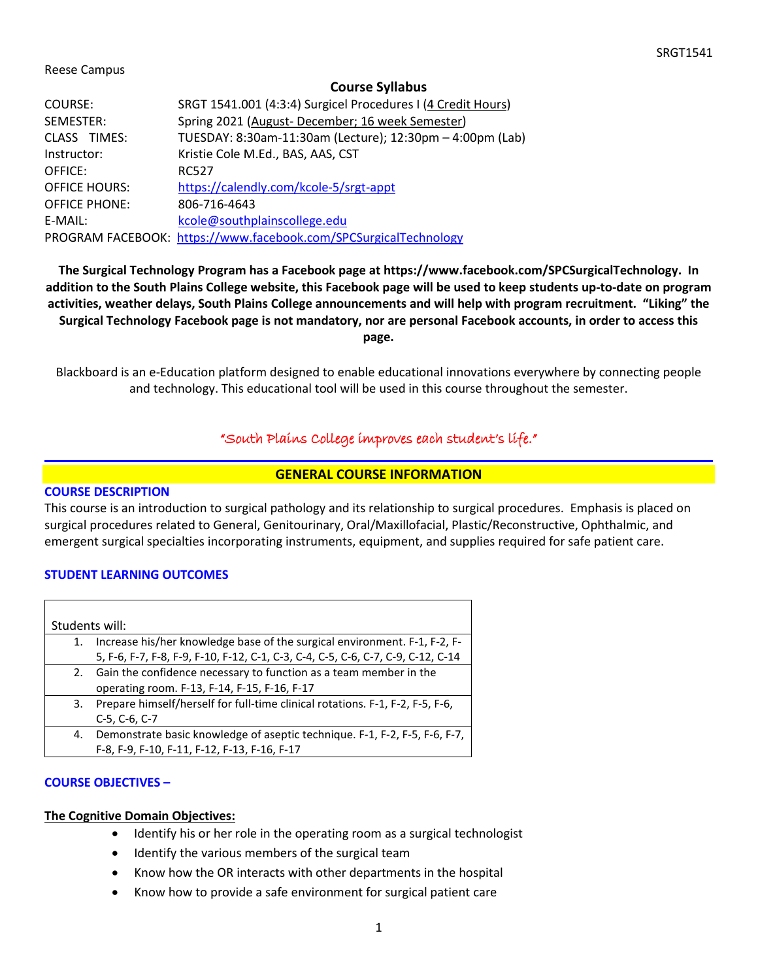#### Reese Campus

#### **Course Syllabus**

| COURSE:              | SRGT 1541.001 (4:3:4) Surgicel Procedures I (4 Credit Hours)     |
|----------------------|------------------------------------------------------------------|
| SEMESTER:            | Spring 2021 (August-December; 16 week Semester)                  |
| CLASS TIMES:         | TUESDAY: 8:30am-11:30am (Lecture); 12:30pm - 4:00pm (Lab)        |
| Instructor:          | Kristie Cole M.Ed., BAS, AAS, CST                                |
| OFFICE:              | <b>RC527</b>                                                     |
| <b>OFFICE HOURS:</b> | https://calendly.com/kcole-5/srgt-appt                           |
| <b>OFFICE PHONE:</b> | 806-716-4643                                                     |
| E-MAIL:              | kcole@southplainscollege.edu                                     |
|                      | PROGRAM FACEBOOK: https://www.facebook.com/SPCSurgicalTechnology |

**The Surgical Technology Program has a Facebook page at https://www.facebook.com/SPCSurgicalTechnology. In addition to the South Plains College website, this Facebook page will be used to keep students up-to-date on program activities, weather delays, South Plains College announcements and will help with program recruitment. "Liking" the Surgical Technology Facebook page is not mandatory, nor are personal Facebook accounts, in order to access this page.**

Blackboard is an e-Education platform designed to enable educational innovations everywhere by connecting people and technology. This educational tool will be used in this course throughout the semester.

### "South Plains College improves each student's life."

#### **GENERAL COURSE INFORMATION**

#### **COURSE DESCRIPTION**

This course is an introduction to surgical pathology and its relationship to surgical procedures. Emphasis is placed on surgical procedures related to General, Genitourinary, Oral/Maxillofacial, Plastic/Reconstructive, Ophthalmic, and emergent surgical specialties incorporating instruments, equipment, and supplies required for safe patient care.

#### **STUDENT LEARNING OUTCOMES**

|    | Students will:                                                                   |
|----|----------------------------------------------------------------------------------|
| 1. | Increase his/her knowledge base of the surgical environment. F-1, F-2, F-        |
|    | 5, F-6, F-7, F-8, F-9, F-10, F-12, C-1, C-3, C-4, C-5, C-6, C-7, C-9, C-12, C-14 |
| 2. | Gain the confidence necessary to function as a team member in the                |
|    | operating room. F-13, F-14, F-15, F-16, F-17                                     |
| 3. | Prepare himself/herself for full-time clinical rotations. F-1, F-2, F-5, F-6,    |
|    | $C-5, C-6, C-7$                                                                  |
| 4. | Demonstrate basic knowledge of aseptic technique. F-1, F-2, F-5, F-6, F-7,       |
|    | F-8, F-9, F-10, F-11, F-12, F-13, F-16, F-17                                     |

#### **COURSE OBJECTIVES –**

#### **The Cognitive Domain Objectives:**

- Identify his or her role in the operating room as a surgical technologist
- Identify the various members of the surgical team
- Know how the OR interacts with other departments in the hospital
- Know how to provide a safe environment for surgical patient care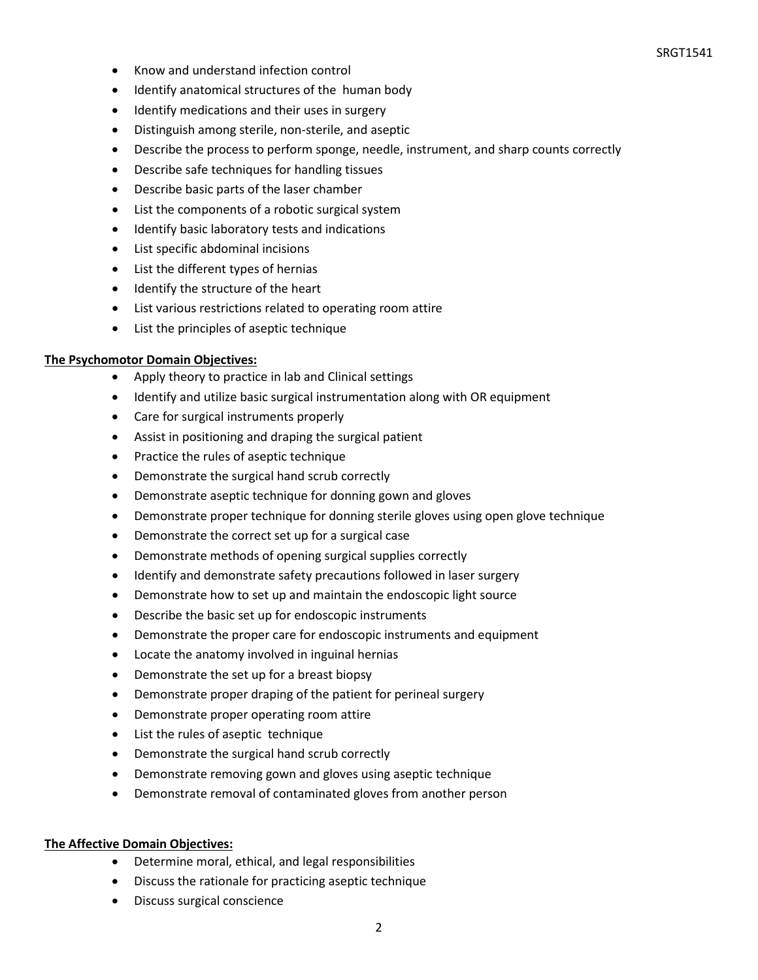- Know and understand infection control
- Identify anatomical structures of the human body
- Identify medications and their uses in surgery
- Distinguish among sterile, non-sterile, and aseptic
- Describe the process to perform sponge, needle, instrument, and sharp counts correctly
- Describe safe techniques for handling tissues
- Describe basic parts of the laser chamber
- List the components of a robotic surgical system
- Identify basic laboratory tests and indications
- List specific abdominal incisions
- List the different types of hernias
- Identify the structure of the heart
- List various restrictions related to operating room attire
- List the principles of aseptic technique

#### **The Psychomotor Domain Objectives:**

- Apply theory to practice in lab and Clinical settings
- Identify and utilize basic surgical instrumentation along with OR equipment
- Care for surgical instruments properly
- Assist in positioning and draping the surgical patient
- Practice the rules of aseptic technique
- Demonstrate the surgical hand scrub correctly
- Demonstrate aseptic technique for donning gown and gloves
- Demonstrate proper technique for donning sterile gloves using open glove technique
- Demonstrate the correct set up for a surgical case
- Demonstrate methods of opening surgical supplies correctly
- Identify and demonstrate safety precautions followed in laser surgery
- Demonstrate how to set up and maintain the endoscopic light source
- Describe the basic set up for endoscopic instruments
- Demonstrate the proper care for endoscopic instruments and equipment
- Locate the anatomy involved in inguinal hernias
- Demonstrate the set up for a breast biopsy
- Demonstrate proper draping of the patient for perineal surgery
- Demonstrate proper operating room attire
- List the rules of aseptic technique
- Demonstrate the surgical hand scrub correctly
- Demonstrate removing gown and gloves using aseptic technique
- Demonstrate removal of contaminated gloves from another person

#### **The Affective Domain Objectives:**

- Determine moral, ethical, and legal responsibilities
- Discuss the rationale for practicing aseptic technique
- Discuss surgical conscience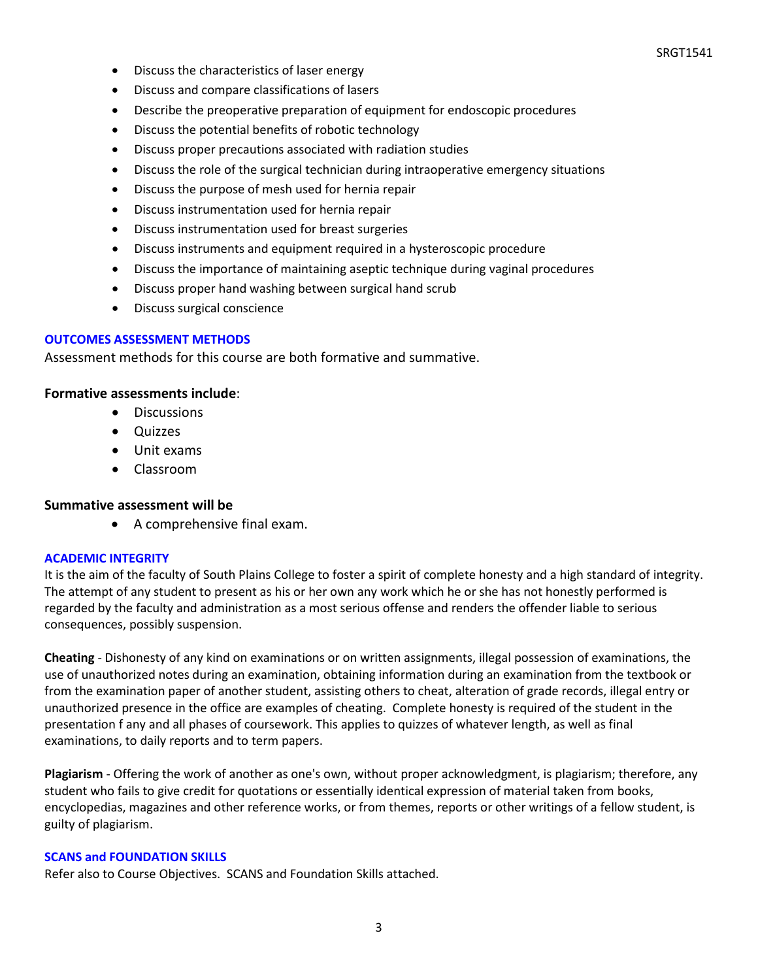- Discuss the characteristics of laser energy
- Discuss and compare classifications of lasers
- Describe the preoperative preparation of equipment for endoscopic procedures
- Discuss the potential benefits of robotic technology
- Discuss proper precautions associated with radiation studies
- Discuss the role of the surgical technician during intraoperative emergency situations
- Discuss the purpose of mesh used for hernia repair
- Discuss instrumentation used for hernia repair
- Discuss instrumentation used for breast surgeries
- Discuss instruments and equipment required in a hysteroscopic procedure
- Discuss the importance of maintaining aseptic technique during vaginal procedures
- Discuss proper hand washing between surgical hand scrub
- Discuss surgical conscience

#### **OUTCOMES ASSESSMENT METHODS**

Assessment methods for this course are both formative and summative.

#### **Formative assessments include**:

- Discussions
- Quizzes
- Unit exams
- Classroom

#### **Summative assessment will be**

• A comprehensive final exam.

#### **ACADEMIC INTEGRITY**

It is the aim of the faculty of South Plains College to foster a spirit of complete honesty and a high standard of integrity. The attempt of any student to present as his or her own any work which he or she has not honestly performed is regarded by the faculty and administration as a most serious offense and renders the offender liable to serious consequences, possibly suspension.

**Cheating** - Dishonesty of any kind on examinations or on written assignments, illegal possession of examinations, the use of unauthorized notes during an examination, obtaining information during an examination from the textbook or from the examination paper of another student, assisting others to cheat, alteration of grade records, illegal entry or unauthorized presence in the office are examples of cheating. Complete honesty is required of the student in the presentation f any and all phases of coursework. This applies to quizzes of whatever length, as well as final examinations, to daily reports and to term papers.

**Plagiarism** - Offering the work of another as one's own, without proper acknowledgment, is plagiarism; therefore, any student who fails to give credit for quotations or essentially identical expression of material taken from books, encyclopedias, magazines and other reference works, or from themes, reports or other writings of a fellow student, is guilty of plagiarism.

#### **SCANS and FOUNDATION SKILLS**

Refer also to Course Objectives. SCANS and Foundation Skills attached.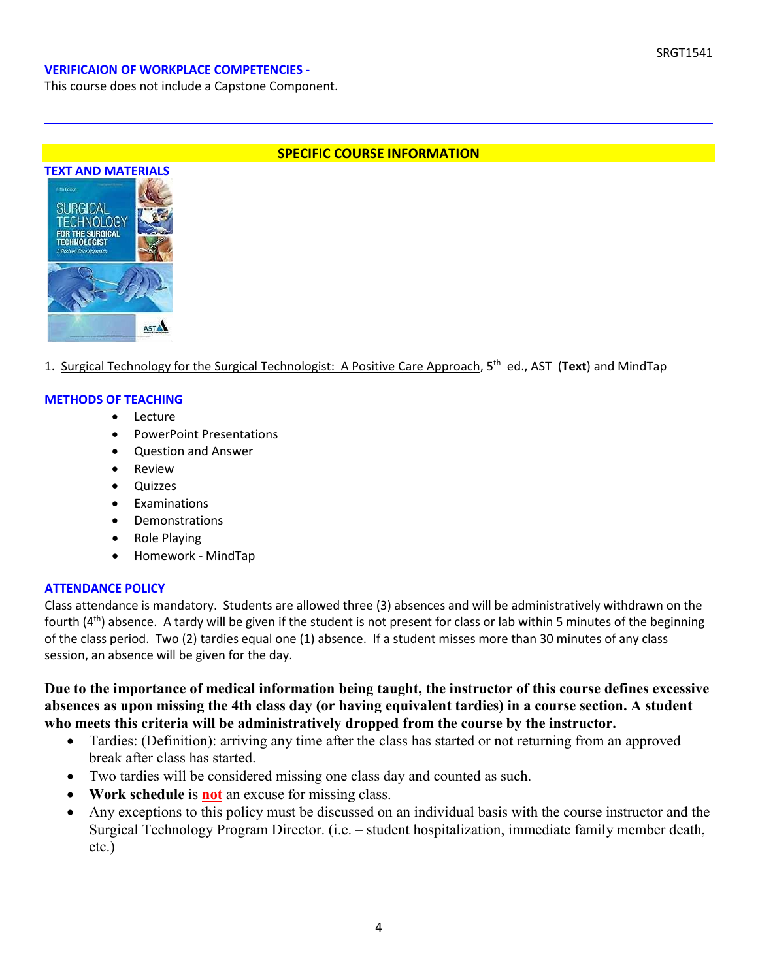#### **VERIFICAION OF WORKPLACE COMPETENCIES -**

This course does not include a Capstone Component.





1. Surgical Technology for the Surgical Technologist: A Positive Care Approach, 5th ed., AST (**Text**) and MindTap

#### **METHODS OF TEACHING**

- Lecture
- PowerPoint Presentations
- Question and Answer
- **Review**
- Quizzes
- **Examinations**
- Demonstrations
- Role Playing
- Homework MindTap

#### **ATTENDANCE POLICY**

Class attendance is mandatory. Students are allowed three (3) absences and will be administratively withdrawn on the fourth  $(4<sup>th</sup>)$  absence. A tardy will be given if the student is not present for class or lab within 5 minutes of the beginning of the class period. Two (2) tardies equal one (1) absence. If a student misses more than 30 minutes of any class session, an absence will be given for the day.

**Due to the importance of medical information being taught, the instructor of this course defines excessive absences as upon missing the 4th class day (or having equivalent tardies) in a course section. A student who meets this criteria will be administratively dropped from the course by the instructor.** 

- Tardies: (Definition): arriving any time after the class has started or not returning from an approved break after class has started.
- Two tardies will be considered missing one class day and counted as such.
- **Work schedule** is **not** an excuse for missing class.
- Any exceptions to this policy must be discussed on an individual basis with the course instructor and the Surgical Technology Program Director. (i.e. – student hospitalization, immediate family member death, etc.)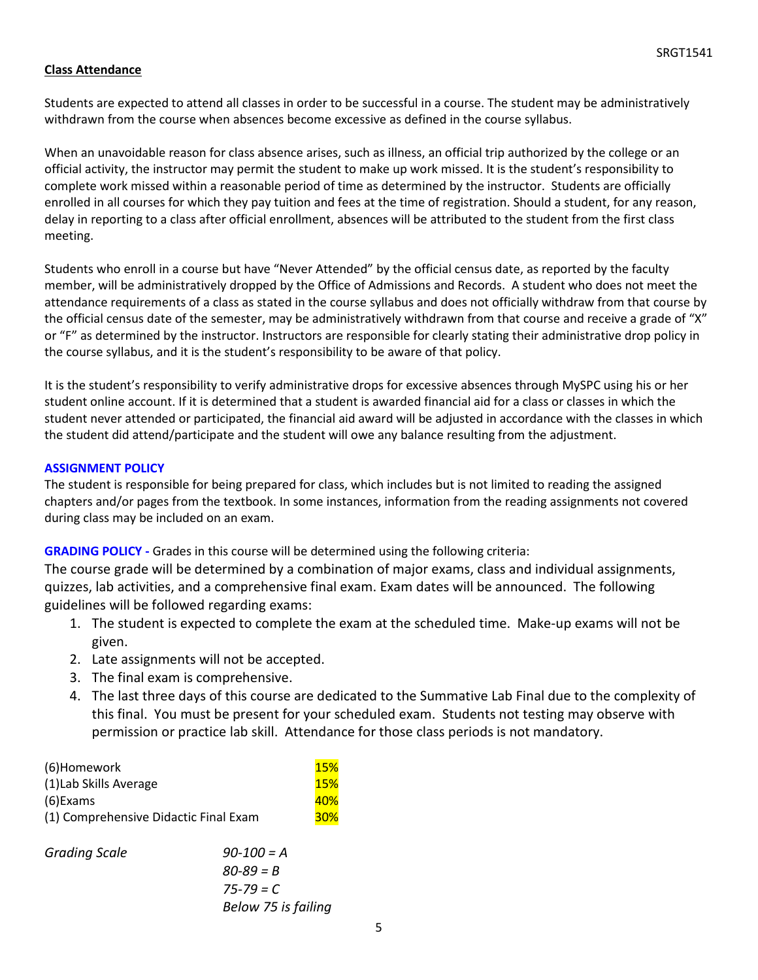### **Class Attendance**

Students are expected to attend all classes in order to be successful in a course. The student may be administratively withdrawn from the course when absences become excessive as defined in the course syllabus.

When an unavoidable reason for class absence arises, such as illness, an official trip authorized by the college or an official activity, the instructor may permit the student to make up work missed. It is the student's responsibility to complete work missed within a reasonable period of time as determined by the instructor. Students are officially enrolled in all courses for which they pay tuition and fees at the time of registration. Should a student, for any reason, delay in reporting to a class after official enrollment, absences will be attributed to the student from the first class meeting.

Students who enroll in a course but have "Never Attended" by the official census date, as reported by the faculty member, will be administratively dropped by the Office of Admissions and Records. A student who does not meet the attendance requirements of a class as stated in the course syllabus and does not officially withdraw from that course by the official census date of the semester, may be administratively withdrawn from that course and receive a grade of "X" or "F" as determined by the instructor. Instructors are responsible for clearly stating their administrative drop policy in the course syllabus, and it is the student's responsibility to be aware of that policy.

It is the student's responsibility to verify administrative drops for excessive absences through MySPC using his or her student online account. If it is determined that a student is awarded financial aid for a class or classes in which the student never attended or participated, the financial aid award will be adjusted in accordance with the classes in which the student did attend/participate and the student will owe any balance resulting from the adjustment.

#### **ASSIGNMENT POLICY**

The student is responsible for being prepared for class, which includes but is not limited to reading the assigned chapters and/or pages from the textbook. In some instances, information from the reading assignments not covered during class may be included on an exam.

#### **GRADING POLICY -** Grades in this course will be determined using the following criteria:

The course grade will be determined by a combination of major exams, class and individual assignments, quizzes, lab activities, and a comprehensive final exam. Exam dates will be announced. The following guidelines will be followed regarding exams:

- 1. The student is expected to complete the exam at the scheduled time. Make-up exams will not be given.
- 2. Late assignments will not be accepted.
- 3. The final exam is comprehensive.
- 4. The last three days of this course are dedicated to the Summative Lab Final due to the complexity of this final. You must be present for your scheduled exam. Students not testing may observe with permission or practice lab skill. Attendance for those class periods is not mandatory.

| (6)Homework                           | 15%        |
|---------------------------------------|------------|
| (1) Lab Skills Average                | 15%        |
| (6) Exams                             | <b>40%</b> |
| (1) Comprehensive Didactic Final Exam | <b>30%</b> |
|                                       |            |

*Grading Scale 90-100 = A 80-89 = B 75-79 = C Below 75 is failing*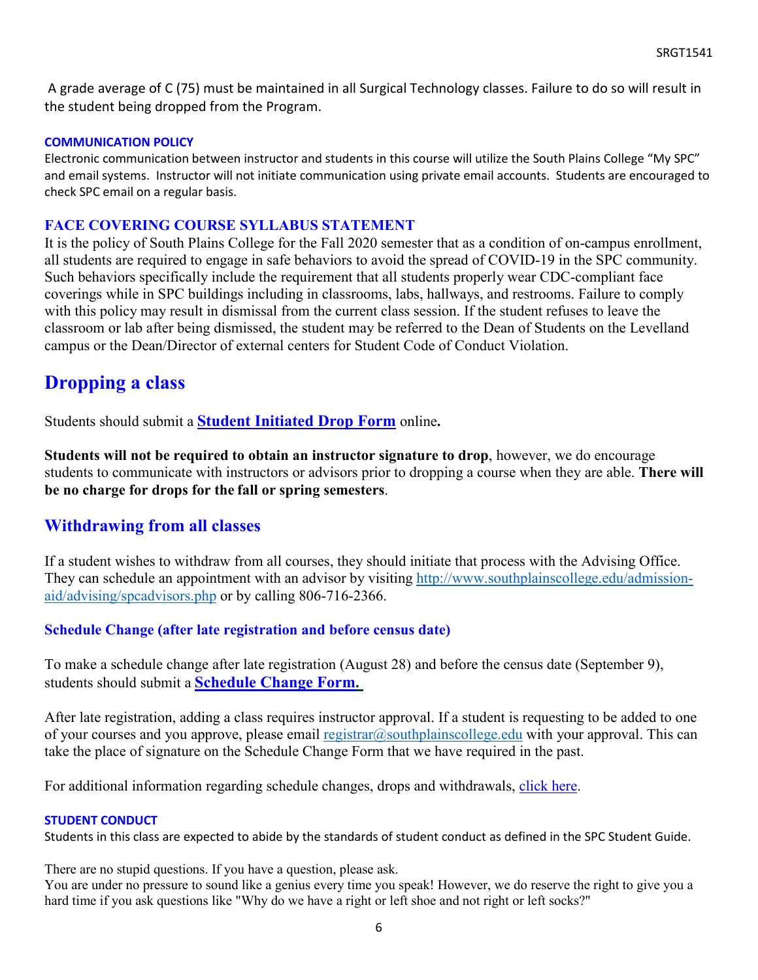A grade average of C (75) must be maintained in all Surgical Technology classes. Failure to do so will result in the student being dropped from the Program.

### **COMMUNICATION POLICY**

Electronic communication between instructor and students in this course will utilize the South Plains College "My SPC" and email systems. Instructor will not initiate communication using private email accounts. Students are encouraged to check SPC email on a regular basis.

## **FACE COVERING COURSE SYLLABUS STATEMENT**

It is the policy of South Plains College for the Fall 2020 semester that as a condition of on-campus enrollment, all students are required to engage in safe behaviors to avoid the spread of COVID-19 in the SPC community. Such behaviors specifically include the requirement that all students properly wear CDC-compliant face coverings while in SPC buildings including in classrooms, labs, hallways, and restrooms. Failure to comply with this policy may result in dismissal from the current class session. If the student refuses to leave the classroom or lab after being dismissed, the student may be referred to the Dean of Students on the Levelland campus or the Dean/Director of external centers for Student Code of Conduct Violation.

# **Dropping a class**

Students should submit a **Student [Initiated](https://forms.office.com/Pages/ResponsePage.aspx?id=ZrGRbWrP6UWeIqAmJdCCqRkmPIpp6AVCixFJfcqITt9UODExTUFXS0JOODhJOTlYM0NEV1kzRk9GMS4u) Drop Form** online**.**

**Students will not be required to obtain an instructor signature to drop**, however, we do encourage students to communicate with instructors or advisors prior to dropping a course when they are able. **There will be no charge for drops for the fall or spring semesters**.

# **Withdrawing from all classes**

If a student wishes to withdraw from all courses, they should initiate that process with the Advising Office. They can schedule an appointment with an advisor by visiting [http://www.southplainscollege.edu/admission](http://www.southplainscollege.edu/admission-aid/advising/spcadvisors.php)[aid/advising/spcadvisors.php](http://www.southplainscollege.edu/admission-aid/advising/spcadvisors.php) or by calling 806-716-2366.

# **Schedule Change (after late registration and before census date)**

To make a schedule change after late registration (August 28) and before the census date (September 9), students should submit a **[Schedule](https://forms.office.com/Pages/ResponsePage.aspx?id=ZrGRbWrP6UWeIqAmJdCCqRkmPIpp6AVCixFJfcqITt9UODIyTkRZSkFHVDNSVFRFV0g0T0tVWVAwRi4u) Change Form.**

After late registration, adding a class requires instructor approval. If a student is requesting to be added to one of your courses and you approve, please email [registrar@southplainscollege.edu](mailto:registrar@southplainscollege.edu) with your approval. This can take the place of signature on the Schedule Change Form that we have required in the past.

For additional information regarding schedule changes, drops and withdrawals, [click](http://www.southplainscollege.edu/admission-aid/apply/schedulechanges.php) here.

### **STUDENT CONDUCT**

Students in this class are expected to abide by the standards of student conduct as defined in the SPC Student Guide.

There are no stupid questions. If you have a question, please ask.

You are under no pressure to sound like a genius every time you speak! However, we do reserve the right to give you a hard time if you ask questions like "Why do we have a right or left shoe and not right or left socks?"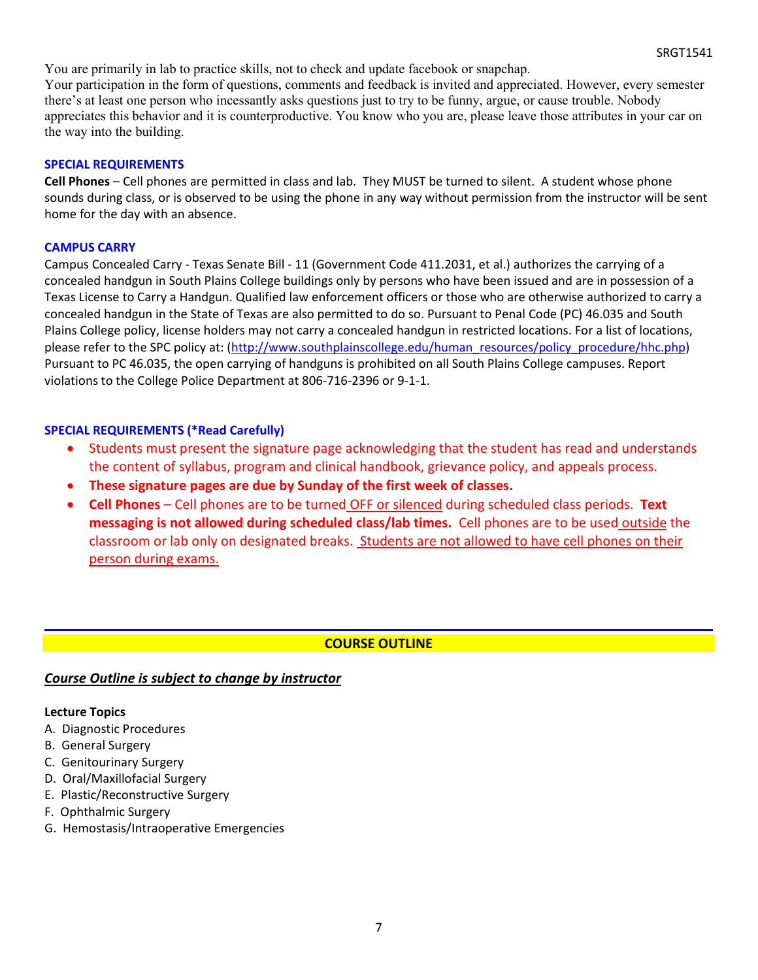You are primarily in lab to practice skills, not to check and update facebook or snapchap. Your participation in the form of questions, comments and feedback is invited and appreciated. However, every semester there's at least one person who incessantly asks questions just to try to be funny, argue, or cause trouble. Nobody appreciates this behavior and it is counterproductive. You know who you are, please leave those attributes in your car on the way into the building.

#### **SPECIAL REQUIREMENTS**

**Cell Phones** – Cell phones are permitted in class and lab. They MUST be turned to silent. A student whose phone sounds during class, or is observed to be using the phone in any way without permission from the instructor will be sent home for the day with an absence.

### **CAMPUS CARRY**

Campus Concealed Carry - Texas Senate Bill - 11 (Government Code 411.2031, et al.) authorizes the carrying of a concealed handgun in South Plains College buildings only by persons who have been issued and are in possession of a Texas License to Carry a Handgun. Qualified law enforcement officers or those who are otherwise authorized to carry a concealed handgun in the State of Texas are also permitted to do so. Pursuant to Penal Code (PC) 46.035 and South Plains College policy, license holders may not carry a concealed handgun in restricted locations. For a list of locations, please refer to the SPC policy at: [\(http://www.southplainscollege.edu/human\\_resources/policy\\_procedure/hhc.php\)](http://www.southplainscollege.edu/human_resources/policy_procedure/hhc.php) Pursuant to PC 46.035, the open carrying of handguns is prohibited on all South Plains College campuses. Report violations to the College Police Department at 806-716-2396 or 9-1-1.

### **SPECIAL REQUIREMENTS (\*Read Carefully)**

- Students must present the signature page acknowledging that the student has read and understands the content of syllabus, program and clinical handbook, grievance policy, and appeals process.
- **These signature pages are due by Sunday of the first week of classes.**
- **Cell Phones** Cell phones are to be turned OFF or silenced during scheduled class periods. **Text messaging is not allowed during scheduled class/lab times.** Cell phones are to be used outside the classroom or lab only on designated breaks. Students are not allowed to have cell phones on their person during exams.

# **COURSE OUTLINE**

# *Course Outline is subject to change by instructor*

#### **Lecture Topics**

- A. Diagnostic Procedures
- B. General Surgery
- C. Genitourinary Surgery
- D. Oral/Maxillofacial Surgery
- E. Plastic/Reconstructive Surgery
- F. Ophthalmic Surgery
- G. Hemostasis/Intraoperative Emergencies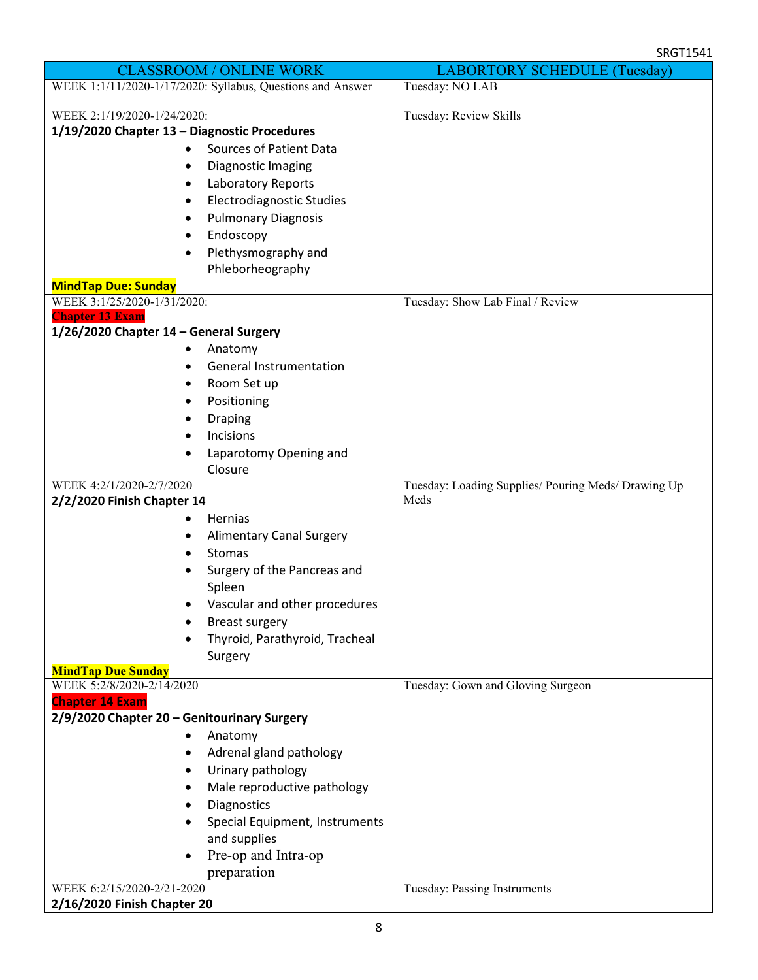| <b>CLASSROOM / ONLINE WORK</b>                             | <b>LABORTORY SCHEDULE (Tuesday)</b>                 |
|------------------------------------------------------------|-----------------------------------------------------|
| WEEK 1:1/11/2020-1/17/2020: Syllabus, Questions and Answer | Tuesday: NO LAB                                     |
| WEEK 2:1/19/2020-1/24/2020:                                | Tuesday: Review Skills                              |
| 1/19/2020 Chapter 13 - Diagnostic Procedures               |                                                     |
| Sources of Patient Data                                    |                                                     |
| Diagnostic Imaging<br>٠                                    |                                                     |
| Laboratory Reports                                         |                                                     |
| Electrodiagnostic Studies                                  |                                                     |
| <b>Pulmonary Diagnosis</b>                                 |                                                     |
| Endoscopy                                                  |                                                     |
| Plethysmography and                                        |                                                     |
| Phleborheography<br><b>MindTap Due: Sunday</b>             |                                                     |
| WEEK 3:1/25/2020-1/31/2020:                                | Tuesday: Show Lab Final / Review                    |
| <b>Chapter 13 Exam</b>                                     |                                                     |
| 1/26/2020 Chapter 14 - General Surgery                     |                                                     |
| Anatomy                                                    |                                                     |
| <b>General Instrumentation</b><br>٠                        |                                                     |
| Room Set up                                                |                                                     |
| Positioning                                                |                                                     |
| <b>Draping</b>                                             |                                                     |
| Incisions                                                  |                                                     |
| Laparotomy Opening and                                     |                                                     |
| Closure<br>WEEK 4:2/1/2020-2/7/2020                        | Tuesday: Loading Supplies/ Pouring Meds/ Drawing Up |
| 2/2/2020 Finish Chapter 14                                 | Meds                                                |
| Hernias                                                    |                                                     |
| <b>Alimentary Canal Surgery</b>                            |                                                     |
| Stomas                                                     |                                                     |
| Surgery of the Pancreas and                                |                                                     |
| Spleen                                                     |                                                     |
| Vascular and other procedures                              |                                                     |
| <b>Breast surgery</b>                                      |                                                     |
| Thyroid, Parathyroid, Tracheal                             |                                                     |
| Surgery                                                    |                                                     |
| <b>MindTap Due Sunday</b><br>WEEK 5:2/8/2020-2/14/2020     | Tuesday: Gown and Gloving Surgeon                   |
| <b>Chapter 14 Exam</b>                                     |                                                     |
| 2/9/2020 Chapter 20 - Genitourinary Surgery                |                                                     |
| Anatomy                                                    |                                                     |
| Adrenal gland pathology                                    |                                                     |
| Urinary pathology                                          |                                                     |
| Male reproductive pathology                                |                                                     |
| Diagnostics                                                |                                                     |
| Special Equipment, Instruments                             |                                                     |
| and supplies                                               |                                                     |
| Pre-op and Intra-op                                        |                                                     |
| preparation<br>WEEK 6:2/15/2020-2/21-2020                  |                                                     |
| 2/16/2020 Finish Chapter 20                                | Tuesday: Passing Instruments                        |
|                                                            |                                                     |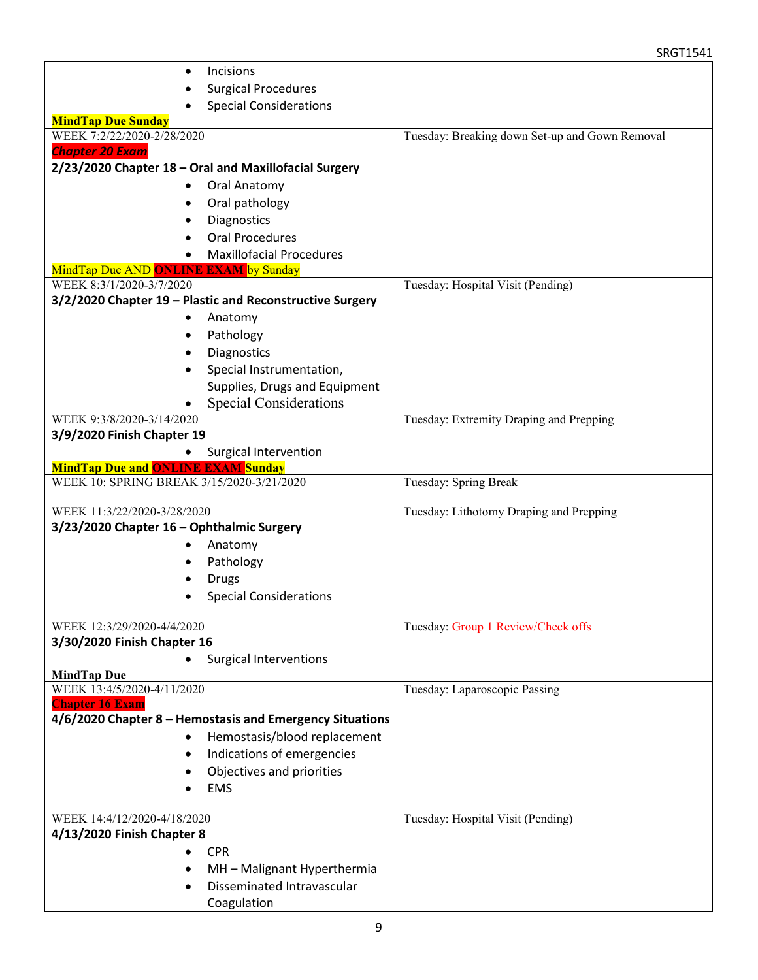#### SRGT1541

| Incisions                                                |                                                |
|----------------------------------------------------------|------------------------------------------------|
| <b>Surgical Procedures</b>                               |                                                |
| <b>Special Considerations</b>                            |                                                |
| <b>MindTap Due Sunday</b>                                |                                                |
| WEEK 7:2/22/2020-2/28/2020                               | Tuesday: Breaking down Set-up and Gown Removal |
| <b>Chapter 20 Exam</b>                                   |                                                |
| 2/23/2020 Chapter 18 - Oral and Maxillofacial Surgery    |                                                |
| Oral Anatomy                                             |                                                |
| Oral pathology                                           |                                                |
| Diagnostics                                              |                                                |
| <b>Oral Procedures</b>                                   |                                                |
| <b>Maxillofacial Procedures</b>                          |                                                |
| MindTap Due AND ONLINE EXAM by Sunday                    |                                                |
| WEEK 8:3/1/2020-3/7/2020                                 | Tuesday: Hospital Visit (Pending)              |
| 3/2/2020 Chapter 19 - Plastic and Reconstructive Surgery |                                                |
| Anatomy                                                  |                                                |
| Pathology                                                |                                                |
| Diagnostics                                              |                                                |
| Special Instrumentation,                                 |                                                |
| Supplies, Drugs and Equipment                            |                                                |
| <b>Special Considerations</b>                            |                                                |
| WEEK 9:3/8/2020-3/14/2020                                | Tuesday: Extremity Draping and Prepping        |
| 3/9/2020 Finish Chapter 19                               |                                                |
| Surgical Intervention                                    |                                                |
| <b>MindTap Due and ONLINE EXAM Sunday</b>                |                                                |
| WEEK 10: SPRING BREAK 3/15/2020-3/21/2020                | Tuesday: Spring Break                          |
| WEEK 11:3/22/2020-3/28/2020                              | Tuesday: Lithotomy Draping and Prepping        |
| 3/23/2020 Chapter 16 - Ophthalmic Surgery                |                                                |
| Anatomy                                                  |                                                |
| Pathology                                                |                                                |
| <b>Drugs</b>                                             |                                                |
| <b>Special Considerations</b>                            |                                                |
|                                                          |                                                |
| WEEK 12:3/29/2020-4/4/2020                               | Tuesday: Group 1 Review/Check offs             |
| 3/30/2020 Finish Chapter 16                              |                                                |
| <b>Surgical Interventions</b>                            |                                                |
| <b>MindTap Due</b>                                       |                                                |
| WEEK 13:4/5/2020-4/11/2020<br><b>Chapter 16 Exam</b>     | Tuesday: Laparoscopic Passing                  |
| 4/6/2020 Chapter 8 - Hemostasis and Emergency Situations |                                                |
| Hemostasis/blood replacement                             |                                                |
| Indications of emergencies<br>٠                          |                                                |
|                                                          |                                                |
| Objectives and priorities                                |                                                |
| <b>EMS</b>                                               |                                                |
| WEEK 14:4/12/2020-4/18/2020                              | Tuesday: Hospital Visit (Pending)              |
| 4/13/2020 Finish Chapter 8                               |                                                |
| <b>CPR</b>                                               |                                                |
| MH - Malignant Hyperthermia<br>$\bullet$                 |                                                |
| Disseminated Intravascular                               |                                                |
| Coagulation                                              |                                                |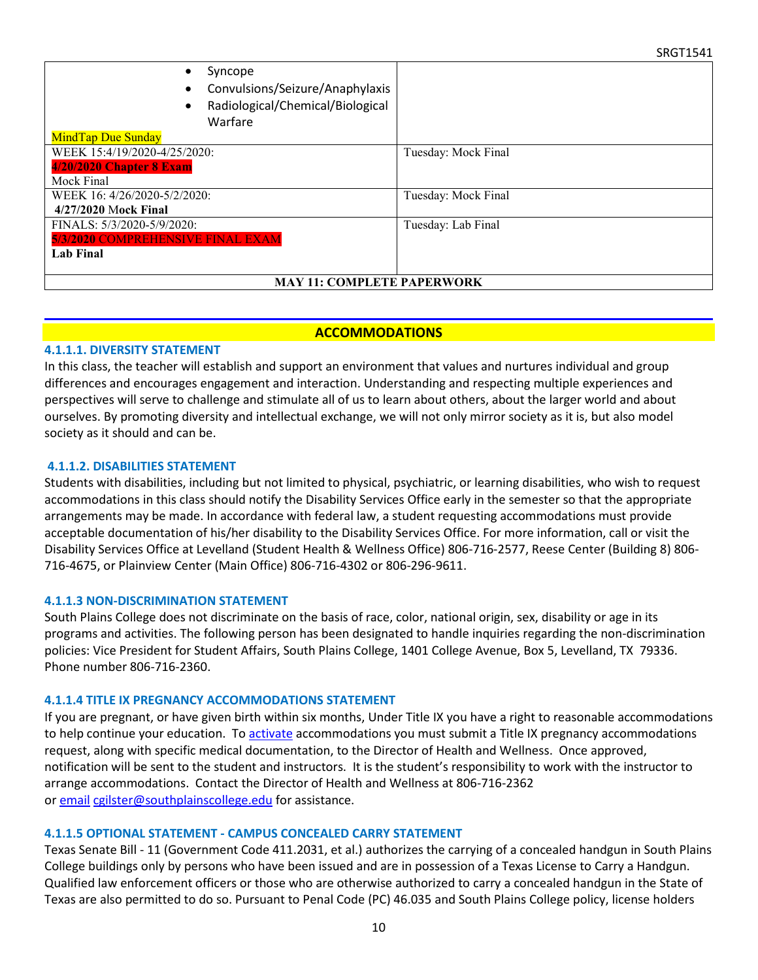| Syncope<br>Convulsions/Seizure/Anaphylaxis<br>Radiological/Chemical/Biological<br>Warfare |                     |  |  |  |
|-------------------------------------------------------------------------------------------|---------------------|--|--|--|
| <b>MindTap Due Sunday</b>                                                                 |                     |  |  |  |
| WEEK 15:4/19/2020-4/25/2020:                                                              | Tuesday: Mock Final |  |  |  |
| 4/20/2020 Chapter 8 Exam                                                                  |                     |  |  |  |
| Mock Final                                                                                |                     |  |  |  |
| WEEK 16: 4/26/2020-5/2/2020:                                                              | Tuesday: Mock Final |  |  |  |
| 4/27/2020 Mock Final                                                                      |                     |  |  |  |
| FINALS: 5/3/2020-5/9/2020:                                                                | Tuesday: Lab Final  |  |  |  |
| 5/3/2020 COMPREHENSIVE FINAL EXAM                                                         |                     |  |  |  |
| <b>Lab Final</b>                                                                          |                     |  |  |  |
|                                                                                           |                     |  |  |  |
| <b>MAY 11: COMPLETE PAPERWORK</b>                                                         |                     |  |  |  |

#### **ACCOMMODATIONS**

#### **4.1.1.1. DIVERSITY STATEMENT**

In this class, the teacher will establish and support an environment that values and nurtures individual and group differences and encourages engagement and interaction. Understanding and respecting multiple experiences and perspectives will serve to challenge and stimulate all of us to learn about others, about the larger world and about ourselves. By promoting diversity and intellectual exchange, we will not only mirror society as it is, but also model society as it should and can be.

#### **4.1.1.2. DISABILITIES STATEMENT**

Students with disabilities, including but not limited to physical, psychiatric, or learning disabilities, who wish to request accommodations in this class should notify the Disability Services Office early in the semester so that the appropriate arrangements may be made. In accordance with federal law, a student requesting accommodations must provide acceptable documentation of his/her disability to the Disability Services Office. For more information, call or visit the Disability Services Office at Levelland (Student Health & Wellness Office) 806-716-2577, Reese Center (Building 8) 806- 716-4675, or Plainview Center (Main Office) 806-716-4302 or 806-296-9611.

#### **4.1.1.3 NON-DISCRIMINATION STATEMENT**

South Plains College does not discriminate on the basis of race, color, national origin, sex, disability or age in its programs and activities. The following person has been designated to handle inquiries regarding the non-discrimination policies: Vice President for Student Affairs, South Plains College, 1401 College Avenue, Box 5, Levelland, TX 79336. Phone number 806-716-2360.

#### **4.1.1.4 TITLE IX PREGNANCY ACCOMMODATIONS STATEMENT**

If you are pregnant, or have given birth within six months, Under Title IX you have a right to reasonable accommodations to help continue your education. To [activate](http://www.southplainscollege.edu/employees/manualshandbooks/facultyhandbook/sec4.php) accommodations you must submit a Title IX pregnancy accommodations request, along with specific medical documentation, to the Director of Health and Wellness. Once approved, notification will be sent to the student and instructors. It is the student's responsibility to work with the instructor to arrange accommodations. Contact the Director of Health and Wellness at 806-716-2362 or [email](http://www.southplainscollege.edu/employees/manualshandbooks/facultyhandbook/sec4.php) [cgilster@southplainscollege.edu](mailto:cgilster@southplainscollege.edu) for assistance.

#### **4.1.1.5 OPTIONAL STATEMENT - CAMPUS [CONCEALED CARRY](http://www.southplainscollege.edu/employees/manualshandbooks/facultyhandbook/sec4.php) STATEMENT**

Texas Senate Bill - 11 (Government Code 411.2031, et al.) authorizes the carrying of a concealed handgun in South Plains College buildings only by persons who have been issued and are in possession of a Texas License to Carry a Handgun. Qualified law enforcement officers or those who are otherwise authorized to carry a concealed handgun in the State of Texas are also permitted to do so. Pursuant to Penal Code (PC) 46.035 and South Plains College policy, license holders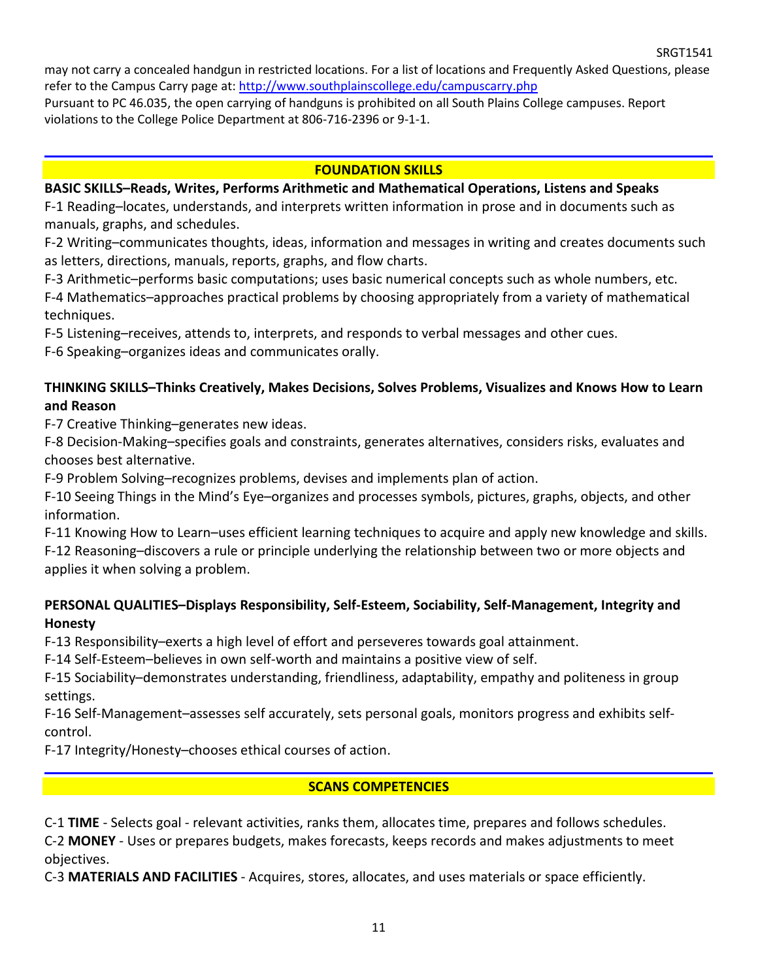may not carry a concealed handgun in restricted locations. For a list of locations and Frequently Asked Questions, please refer to the Campus Carry page at: <http://www.southplainscollege.edu/campuscarry.php>

Pursuant to PC 46.035, the open carrying of handguns is prohibited on all South Plains College campuses. Report violations to the College Police Department at 806-716-2396 or 9-1-1.

### **FOUNDATION SKILLS**

## **BASIC SKILLS–Reads, Writes, Performs Arithmetic and Mathematical Operations, Listens and Speaks**

F-1 Reading–locates, understands, and interprets written information in prose and in documents such as manuals, graphs, and schedules.

F-2 Writing–communicates thoughts, ideas, information and messages in writing and creates documents such as letters, directions, manuals, reports, graphs, and flow charts.

F-3 Arithmetic–performs basic computations; uses basic numerical concepts such as whole numbers, etc.

F-4 Mathematics–approaches practical problems by choosing appropriately from a variety of mathematical techniques.

F-5 Listening–receives, attends to, interprets, and responds to verbal messages and other cues.

F-6 Speaking–organizes ideas and communicates orally.

# **THINKING SKILLS–Thinks Creatively, Makes Decisions, Solves Problems, Visualizes and Knows How to Learn and Reason**

F-7 Creative Thinking–generates new ideas.

F-8 Decision-Making–specifies goals and constraints, generates alternatives, considers risks, evaluates and chooses best alternative.

F-9 Problem Solving–recognizes problems, devises and implements plan of action.

F-10 Seeing Things in the Mind's Eye–organizes and processes symbols, pictures, graphs, objects, and other information.

F-11 Knowing How to Learn–uses efficient learning techniques to acquire and apply new knowledge and skills. F-12 Reasoning–discovers a rule or principle underlying the relationship between two or more objects and applies it when solving a problem.

# **PERSONAL QUALITIES–Displays Responsibility, Self-Esteem, Sociability, Self-Management, Integrity and Honesty**

F-13 Responsibility–exerts a high level of effort and perseveres towards goal attainment.

F-14 Self-Esteem–believes in own self-worth and maintains a positive view of self.

F-15 Sociability–demonstrates understanding, friendliness, adaptability, empathy and politeness in group settings.

F-16 Self-Management–assesses self accurately, sets personal goals, monitors progress and exhibits selfcontrol.

F-17 Integrity/Honesty–chooses ethical courses of action.

### **SCANS COMPETENCIES**

C-1 **TIME** - Selects goal - relevant activities, ranks them, allocates time, prepares and follows schedules. C-2 **MONEY** - Uses or prepares budgets, makes forecasts, keeps records and makes adjustments to meet objectives.

C-3 **MATERIALS AND FACILITIES** - Acquires, stores, allocates, and uses materials or space efficiently.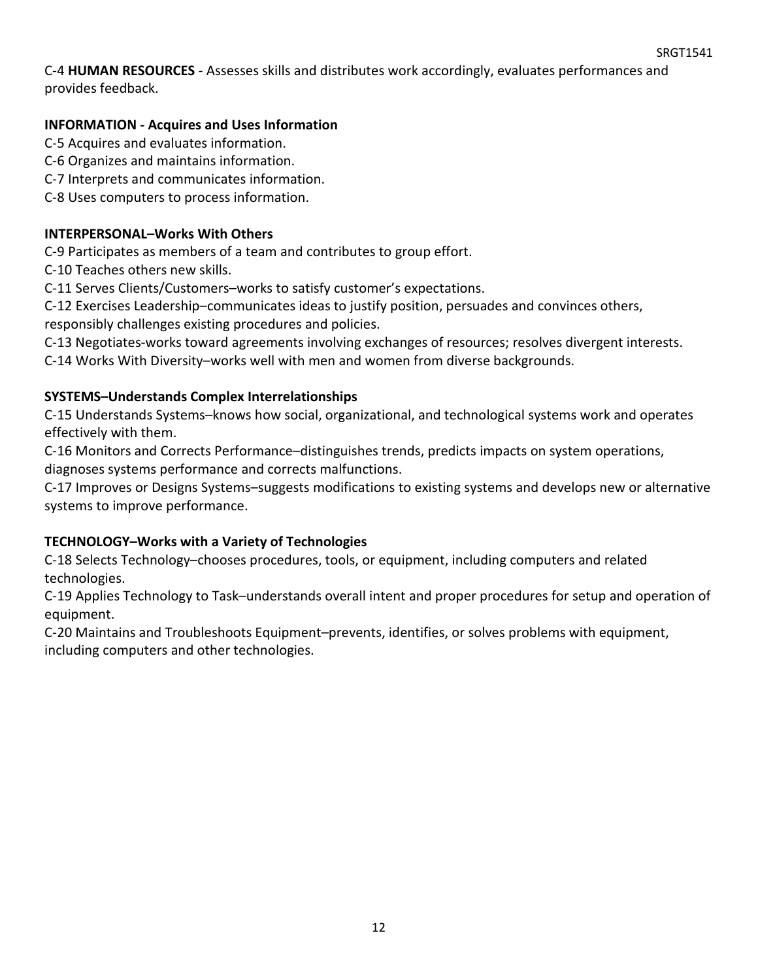C-4 **HUMAN RESOURCES** - Assesses skills and distributes work accordingly, evaluates performances and provides feedback.

# **INFORMATION - Acquires and Uses Information**

C-5 Acquires and evaluates information.

- C-6 Organizes and maintains information.
- C-7 Interprets and communicates information.
- C-8 Uses computers to process information.

# **INTERPERSONAL–Works With Others**

C-9 Participates as members of a team and contributes to group effort.

C-10 Teaches others new skills.

C-11 Serves Clients/Customers–works to satisfy customer's expectations.

C-12 Exercises Leadership–communicates ideas to justify position, persuades and convinces others,

responsibly challenges existing procedures and policies.

C-13 Negotiates-works toward agreements involving exchanges of resources; resolves divergent interests.

C-14 Works With Diversity–works well with men and women from diverse backgrounds.

# **SYSTEMS–Understands Complex Interrelationships**

C-15 Understands Systems–knows how social, organizational, and technological systems work and operates effectively with them.

C-16 Monitors and Corrects Performance–distinguishes trends, predicts impacts on system operations, diagnoses systems performance and corrects malfunctions.

C-17 Improves or Designs Systems–suggests modifications to existing systems and develops new or alternative systems to improve performance.

# **TECHNOLOGY–Works with a Variety of Technologies**

C-18 Selects Technology–chooses procedures, tools, or equipment, including computers and related technologies.

C-19 Applies Technology to Task–understands overall intent and proper procedures for setup and operation of equipment.

C-20 Maintains and Troubleshoots Equipment–prevents, identifies, or solves problems with equipment, including computers and other technologies.